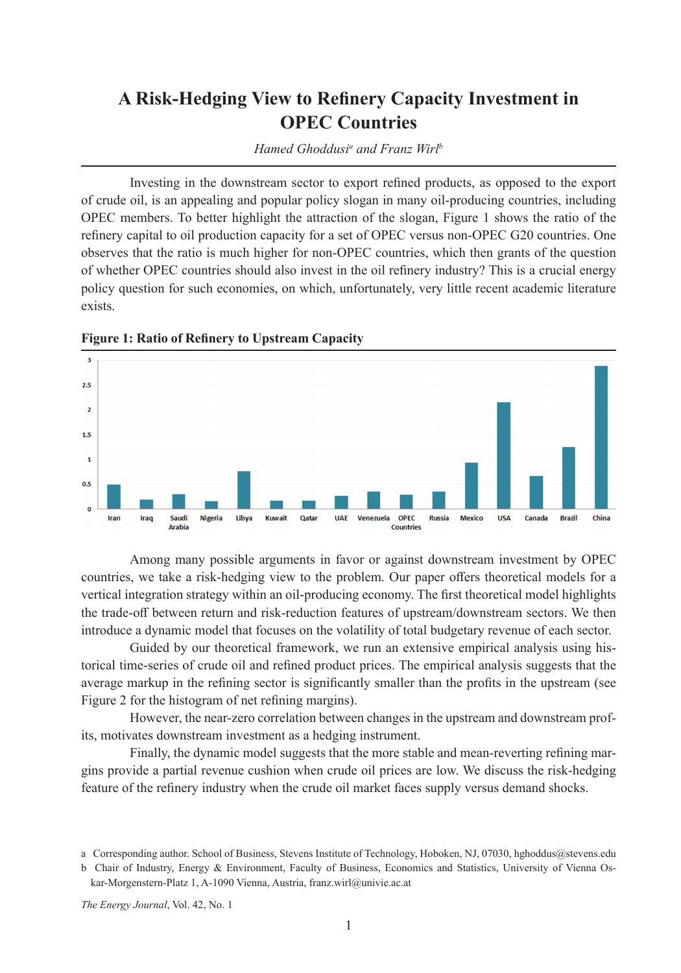## **A Risk-Hedging View to Refinery Capacity Investment in OPEC Countries**

*Hamed Ghoddusi<sup>a</sup> and Franz Wirl<sup>b</sup>* 

Investing in the downstream sector to export refined products, as opposed to the export of crude oil, is an appealing and popular policy slogan in many oil-producing countries, including OPEC members. To better highlight the attraction of the slogan, Figure 1 shows the ratio of the refinery capital to oil production capacity for a set of OPEC versus non-OPEC G20 countries. One observes that the ratio is much higher for non-OPEC countries, which then grants of the question of whether OPEC countries should also invest in the oil refinery industry? This is a crucial energy policy question for such economies, on which, unfortunately, very little recent academic literature exists.



**Figure 1: Ratio of Refinery to Upstream Capacity**

Among many possible arguments in favor or against downstream investment by OPEC countries, we take a risk-hedging view to the problem. Our paper offers theoretical models for a vertical integration strategy within an oil-producing economy. The first theoretical model highlights the trade-off between return and risk-reduction features of upstream/downstream sectors. We then introduce a dynamic model that focuses on the volatility of total budgetary revenue of each sector.

Guided by our theoretical framework, we run an extensive empirical analysis using historical time-series of crude oil and refined product prices. The empirical analysis suggests that the average markup in the refining sector is significantly smaller than the profits in the upstream (see Figure 2 for the histogram of net refining margins).

However, the near-zero correlation between changes in the upstream and downstream profits, motivates downstream investment as a hedging instrument.

Finally, the dynamic model suggests that the more stable and mean-reverting refining margins provide a partial revenue cushion when crude oil prices are low. We discuss the risk-hedging feature of the refinery industry when the crude oil market faces supply versus demand shocks.

*The Energy Journal*, Vol. 42, No. 1

a Corresponding author. School of Business, Stevens Institute of Technology, Hoboken, NJ, 07030, hghoddus@stevens.edu

b Chair of Industry, Energy & Environment, Faculty of Business, Economics and Statistics, University of Vienna Oskar-Morgenstern-Platz 1, A-1090 Vienna, Austria, franz.wirl@univie.ac.at